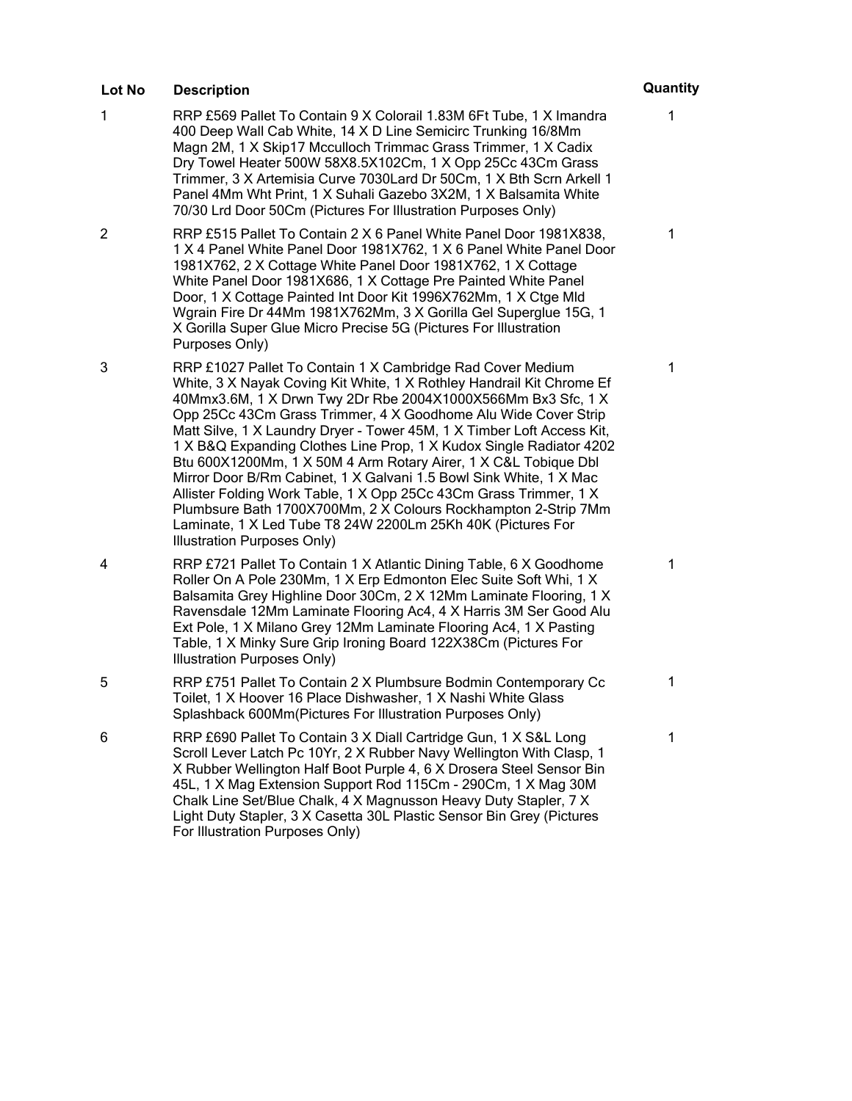- 1 RRP £569 Pallet To Contain 9 X Colorail 1.83M 6Ft Tube, 1 X Imandra 400 Deep Wall Cab White, 14 X D Line Semicirc Trunking 16/8Mm Magn 2M, 1 X Skip17 Mcculloch Trimmac Grass Trimmer, 1 X Cadix Dry Towel Heater 500W 58X8.5X102Cm, 1 X Opp 25Cc 43Cm Grass Trimmer, 3 X Artemisia Curve 7030Lard Dr 50Cm, 1 X Bth Scrn Arkell 1 Panel 4Mm Wht Print, 1 X Suhali Gazebo 3X2M, 1 X Balsamita White 70/30 Lrd Door 50Cm (Pictures For Illustration Purposes Only)
- 2 RRP £515 Pallet To Contain 2 X 6 Panel White Panel Door 1981X838, 1 X 4 Panel White Panel Door 1981X762, 1 X 6 Panel White Panel Door 1981X762, 2 X Cottage White Panel Door 1981X762, 1 X Cottage White Panel Door 1981X686, 1 X Cottage Pre Painted White Panel Door, 1 X Cottage Painted Int Door Kit 1996X762Mm, 1 X Ctge Mld Wgrain Fire Dr 44Mm 1981X762Mm, 3 X Gorilla Gel Superglue 15G, 1 X Gorilla Super Glue Micro Precise 5G (Pictures For Illustration Purposes Only)
- 3 RRP £1027 Pallet To Contain 1 X Cambridge Rad Cover Medium White, 3 X Nayak Coving Kit White, 1 X Rothley Handrail Kit Chrome Ef 40Mmx3.6M, 1 X Drwn Twy 2Dr Rbe 2004X1000X566Mm Bx3 Sfc, 1 X Opp 25Cc 43Cm Grass Trimmer, 4 X Goodhome Alu Wide Cover Strip Matt Silve, 1 X Laundry Dryer - Tower 45M, 1 X Timber Loft Access Kit, 1 X B&Q Expanding Clothes Line Prop, 1 X Kudox Single Radiator 4202 Btu 600X1200Mm, 1 X 50M 4 Arm Rotary Airer, 1 X C&L Tobique Dbl Mirror Door B/Rm Cabinet, 1 X Galvani 1.5 Bowl Sink White, 1 X Mac Allister Folding Work Table, 1 X Opp 25Cc 43Cm Grass Trimmer, 1 X Plumbsure Bath 1700X700Mm, 2 X Colours Rockhampton 2-Strip 7Mm Laminate, 1 X Led Tube T8 24W 2200Lm 25Kh 40K (Pictures For Illustration Purposes Only)
- 4 RRP £721 Pallet To Contain 1 X Atlantic Dining Table, 6 X Goodhome Roller On A Pole 230Mm, 1 X Erp Edmonton Elec Suite Soft Whi, 1 X Balsamita Grey Highline Door 30Cm, 2 X 12Mm Laminate Flooring, 1 X Ravensdale 12Mm Laminate Flooring Ac4, 4 X Harris 3M Ser Good Alu Ext Pole, 1 X Milano Grey 12Mm Laminate Flooring Ac4, 1 X Pasting Table, 1 X Minky Sure Grip Ironing Board 122X38Cm (Pictures For Illustration Purposes Only)
- 5 RRP £751 Pallet To Contain 2 X Plumbsure Bodmin Contemporary Cc Toilet, 1 X Hoover 16 Place Dishwasher, 1 X Nashi White Glass Splashback 600Mm(Pictures For Illustration Purposes Only)
- 6 RRP £690 Pallet To Contain 3 X Diall Cartridge Gun, 1 X S&L Long Scroll Lever Latch Pc 10Yr, 2 X Rubber Navy Wellington With Clasp, 1 X Rubber Wellington Half Boot Purple 4, 6 X Drosera Steel Sensor Bin 45L, 1 X Mag Extension Support Rod 115Cm - 290Cm, 1 X Mag 30M Chalk Line Set/Blue Chalk, 4 X Magnusson Heavy Duty Stapler, 7 X Light Duty Stapler, 3 X Casetta 30L Plastic Sensor Bin Grey (Pictures For Illustration Purposes Only)

# 1

1

1

1

1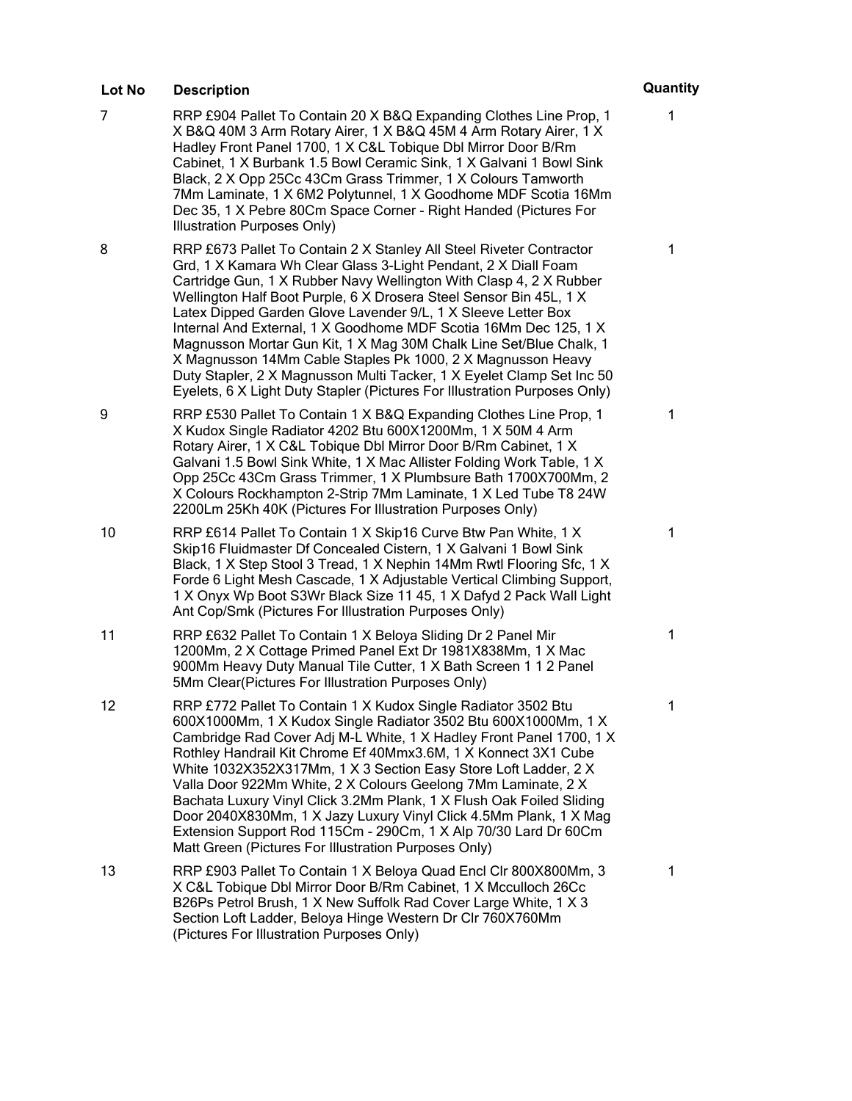- 7 RRP £904 Pallet To Contain 20 X B&Q Expanding Clothes Line Prop, 1 X B&Q 40M 3 Arm Rotary Airer, 1 X B&Q 45M 4 Arm Rotary Airer, 1 X Hadley Front Panel 1700, 1 X C&L Tobique Dbl Mirror Door B/Rm Cabinet, 1 X Burbank 1.5 Bowl Ceramic Sink, 1 X Galvani 1 Bowl Sink Black, 2 X Opp 25Cc 43Cm Grass Trimmer, 1 X Colours Tamworth 7Mm Laminate, 1 X 6M2 Polytunnel, 1 X Goodhome MDF Scotia 16Mm Dec 35, 1 X Pebre 80Cm Space Corner - Right Handed (Pictures For Illustration Purposes Only)
- 8 RRP £673 Pallet To Contain 2 X Stanley All Steel Riveter Contractor Grd, 1 X Kamara Wh Clear Glass 3-Light Pendant, 2 X Diall Foam Cartridge Gun, 1 X Rubber Navy Wellington With Clasp 4, 2 X Rubber Wellington Half Boot Purple, 6 X Drosera Steel Sensor Bin 45L, 1 X Latex Dipped Garden Glove Lavender 9/L, 1 X Sleeve Letter Box Internal And External, 1 X Goodhome MDF Scotia 16Mm Dec 125, 1 X Magnusson Mortar Gun Kit, 1 X Mag 30M Chalk Line Set/Blue Chalk, 1 X Magnusson 14Mm Cable Staples Pk 1000, 2 X Magnusson Heavy Duty Stapler, 2 X Magnusson Multi Tacker, 1 X Eyelet Clamp Set Inc 50 Eyelets, 6 X Light Duty Stapler (Pictures For Illustration Purposes Only)
- 9 RRP £530 Pallet To Contain 1 X B&Q Expanding Clothes Line Prop, 1 X Kudox Single Radiator 4202 Btu 600X1200Mm, 1 X 50M 4 Arm Rotary Airer, 1 X C&L Tobique Dbl Mirror Door B/Rm Cabinet, 1 X Galvani 1.5 Bowl Sink White, 1 X Mac Allister Folding Work Table, 1 X Opp 25Cc 43Cm Grass Trimmer, 1 X Plumbsure Bath 1700X700Mm, 2 X Colours Rockhampton 2-Strip 7Mm Laminate, 1 X Led Tube T8 24W 2200Lm 25Kh 40K (Pictures For Illustration Purposes Only)
- 10 RRP £614 Pallet To Contain 1 X Skip16 Curve Btw Pan White, 1 X Skip16 Fluidmaster Df Concealed Cistern, 1 X Galvani 1 Bowl Sink Black, 1 X Step Stool 3 Tread, 1 X Nephin 14Mm Rwtl Flooring Sfc, 1 X Forde 6 Light Mesh Cascade, 1 X Adjustable Vertical Climbing Support, 1 X Onyx Wp Boot S3Wr Black Size 11 45, 1 X Dafyd 2 Pack Wall Light Ant Cop/Smk (Pictures For Illustration Purposes Only)
- 11 RRP £632 Pallet To Contain 1 X Beloya Sliding Dr 2 Panel Mir 1200Mm, 2 X Cottage Primed Panel Ext Dr 1981X838Mm, 1 X Mac 900Mm Heavy Duty Manual Tile Cutter, 1 X Bath Screen 1 1 2 Panel 5Mm Clear(Pictures For Illustration Purposes Only)
- 12 RRP £772 Pallet To Contain 1 X Kudox Single Radiator 3502 Btu 600X1000Mm, 1 X Kudox Single Radiator 3502 Btu 600X1000Mm, 1 X Cambridge Rad Cover Adj M-L White, 1 X Hadley Front Panel 1700, 1 X Rothley Handrail Kit Chrome Ef 40Mmx3.6M, 1 X Konnect 3X1 Cube White 1032X352X317Mm, 1 X 3 Section Easy Store Loft Ladder, 2 X Valla Door 922Mm White, 2 X Colours Geelong 7Mm Laminate, 2 X Bachata Luxury Vinyl Click 3.2Mm Plank, 1 X Flush Oak Foiled Sliding Door 2040X830Mm, 1 X Jazy Luxury Vinyl Click 4.5Mm Plank, 1 X Mag Extension Support Rod 115Cm - 290Cm, 1 X Alp 70/30 Lard Dr 60Cm Matt Green (Pictures For Illustration Purposes Only)
- 13 RRP £903 Pallet To Contain 1 X Beloya Quad Encl Clr 800X800Mm, 3 X C&L Tobique Dbl Mirror Door B/Rm Cabinet, 1 X Mcculloch 26Cc B26Ps Petrol Brush, 1 X New Suffolk Rad Cover Large White, 1 X 3 Section Loft Ladder, Beloya Hinge Western Dr Clr 760X760Mm (Pictures For Illustration Purposes Only)

## 1

1

1

1

1

1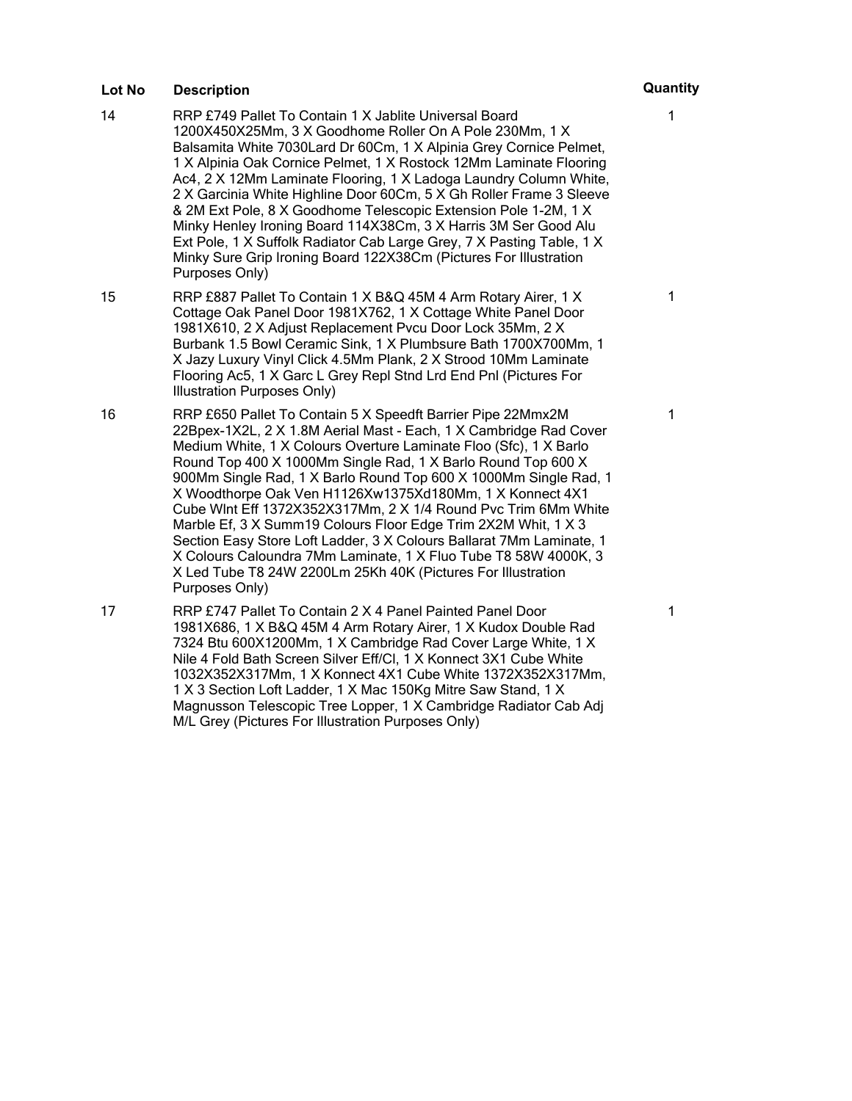- 14 RRP £749 Pallet To Contain 1 X Jablite Universal Board 1200X450X25Mm, 3 X Goodhome Roller On A Pole 230Mm, 1 X Balsamita White 7030Lard Dr 60Cm, 1 X Alpinia Grey Cornice Pelmet, 1 X Alpinia Oak Cornice Pelmet, 1 X Rostock 12Mm Laminate Flooring Ac4, 2 X 12Mm Laminate Flooring, 1 X Ladoga Laundry Column White, 2 X Garcinia White Highline Door 60Cm, 5 X Gh Roller Frame 3 Sleeve & 2M Ext Pole, 8 X Goodhome Telescopic Extension Pole 1-2M, 1 X Minky Henley Ironing Board 114X38Cm, 3 X Harris 3M Ser Good Alu Ext Pole, 1 X Suffolk Radiator Cab Large Grey, 7 X Pasting Table, 1 X Minky Sure Grip Ironing Board 122X38Cm (Pictures For Illustration Purposes Only)
- 15 RRP £887 Pallet To Contain 1 X B&Q 45M 4 Arm Rotary Airer, 1 X Cottage Oak Panel Door 1981X762, 1 X Cottage White Panel Door 1981X610, 2 X Adjust Replacement Pvcu Door Lock 35Mm, 2 X Burbank 1.5 Bowl Ceramic Sink, 1 X Plumbsure Bath 1700X700Mm, 1 X Jazy Luxury Vinyl Click 4.5Mm Plank, 2 X Strood 10Mm Laminate Flooring Ac5, 1 X Garc L Grey Repl Stnd Lrd End Pnl (Pictures For Illustration Purposes Only)
- 16 RRP £650 Pallet To Contain 5 X Speedft Barrier Pipe 22Mmx2M 22Bpex-1X2L, 2 X 1.8M Aerial Mast - Each, 1 X Cambridge Rad Cover Medium White, 1 X Colours Overture Laminate Floo (Sfc), 1 X Barlo Round Top 400 X 1000Mm Single Rad, 1 X Barlo Round Top 600 X 900Mm Single Rad, 1 X Barlo Round Top 600 X 1000Mm Single Rad, 1 X Woodthorpe Oak Ven H1126Xw1375Xd180Mm, 1 X Konnect 4X1 Cube Wlnt Eff 1372X352X317Mm, 2 X 1/4 Round Pvc Trim 6Mm White Marble Ef, 3 X Summ19 Colours Floor Edge Trim 2X2M Whit, 1 X 3 Section Easy Store Loft Ladder, 3 X Colours Ballarat 7Mm Laminate, 1 X Colours Caloundra 7Mm Laminate, 1 X Fluo Tube T8 58W 4000K, 3 X Led Tube T8 24W 2200Lm 25Kh 40K (Pictures For Illustration Purposes Only)
- 17 RRP £747 Pallet To Contain 2 X 4 Panel Painted Panel Door 1981X686, 1 X B&Q 45M 4 Arm Rotary Airer, 1 X Kudox Double Rad 7324 Btu 600X1200Mm, 1 X Cambridge Rad Cover Large White, 1 X Nile 4 Fold Bath Screen Silver Eff/Cl, 1 X Konnect 3X1 Cube White 1032X352X317Mm, 1 X Konnect 4X1 Cube White 1372X352X317Mm, 1 X 3 Section Loft Ladder, 1 X Mac 150Kg Mitre Saw Stand, 1 X Magnusson Telescopic Tree Lopper, 1 X Cambridge Radiator Cab Adj M/L Grey (Pictures For Illustration Purposes Only)

1

1

1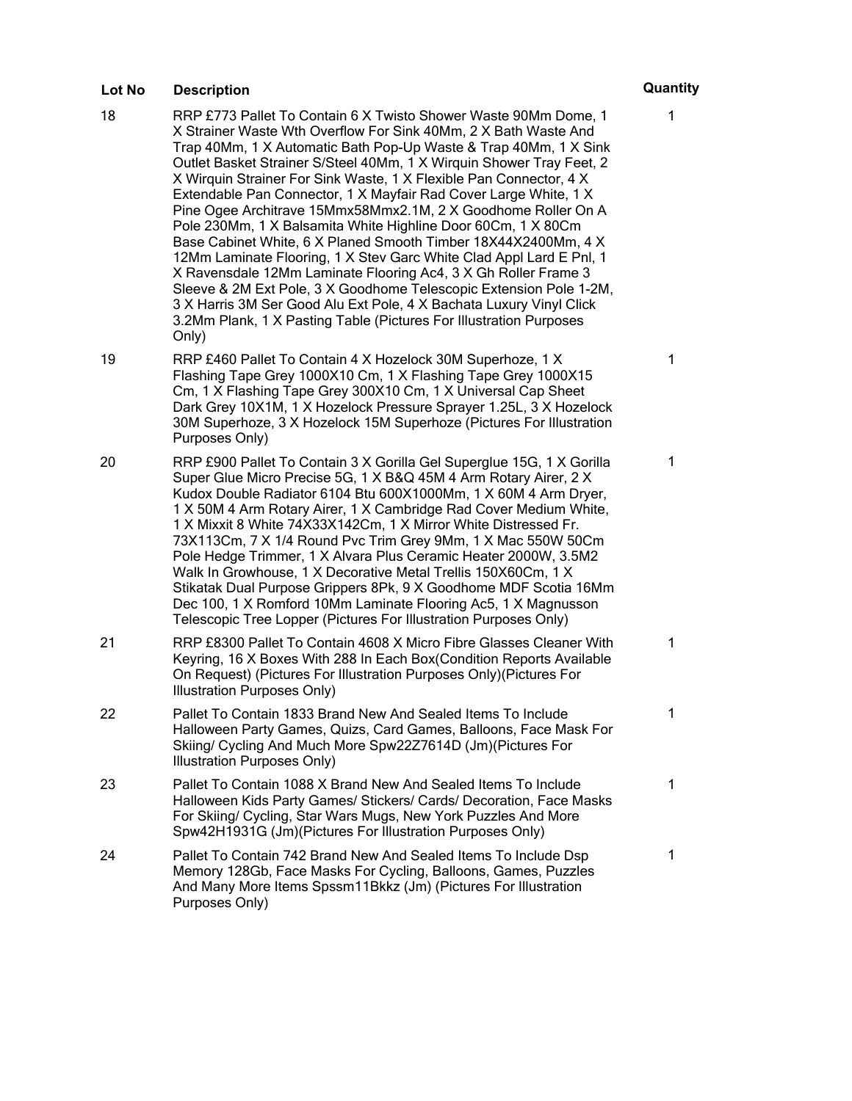- 18 RRP £773 Pallet To Contain 6 X Twisto Shower Waste 90Mm Dome, 1 X Strainer Waste Wth Overflow For Sink 40Mm, 2 X Bath Waste And Trap 40Mm, 1 X Automatic Bath Pop-Up Waste & Trap 40Mm, 1 X Sink Outlet Basket Strainer S/Steel 40Mm, 1 X Wirquin Shower Tray Feet, 2 X Wirquin Strainer For Sink Waste, 1 X Flexible Pan Connector, 4 X Extendable Pan Connector, 1 X Mayfair Rad Cover Large White, 1 X Pine Ogee Architrave 15Mmx58Mmx2.1M, 2 X Goodhome Roller On A Pole 230Mm, 1 X Balsamita White Highline Door 60Cm, 1 X 80Cm Base Cabinet White, 6 X Planed Smooth Timber 18X44X2400Mm, 4 X 12Mm Laminate Flooring, 1 X Stev Garc White Clad Appl Lard E Pnl, 1 X Ravensdale 12Mm Laminate Flooring Ac4, 3 X Gh Roller Frame 3 Sleeve & 2M Ext Pole, 3 X Goodhome Telescopic Extension Pole 1-2M, 3 X Harris 3M Ser Good Alu Ext Pole, 4 X Bachata Luxury Vinyl Click 3.2Mm Plank, 1 X Pasting Table (Pictures For Illustration Purposes Only)
- 19 RRP £460 Pallet To Contain 4 X Hozelock 30M Superhoze, 1 X Flashing Tape Grey 1000X10 Cm, 1 X Flashing Tape Grey 1000X15 Cm, 1 X Flashing Tape Grey 300X10 Cm, 1 X Universal Cap Sheet Dark Grey 10X1M, 1 X Hozelock Pressure Sprayer 1.25L, 3 X Hozelock 30M Superhoze, 3 X Hozelock 15M Superhoze (Pictures For Illustration Purposes Only)
- 20 RRP £900 Pallet To Contain 3 X Gorilla Gel Superglue 15G, 1 X Gorilla Super Glue Micro Precise 5G, 1 X B&Q 45M 4 Arm Rotary Airer, 2 X Kudox Double Radiator 6104 Btu 600X1000Mm, 1 X 60M 4 Arm Dryer, 1 X 50M 4 Arm Rotary Airer, 1 X Cambridge Rad Cover Medium White, 1 X Mixxit 8 White 74X33X142Cm, 1 X Mirror White Distressed Fr. 73X113Cm, 7 X 1/4 Round Pvc Trim Grey 9Mm, 1 X Mac 550W 50Cm Pole Hedge Trimmer, 1 X Alvara Plus Ceramic Heater 2000W, 3.5M2 Walk In Growhouse, 1 X Decorative Metal Trellis 150X60Cm, 1 X Stikatak Dual Purpose Grippers 8Pk, 9 X Goodhome MDF Scotia 16Mm Dec 100, 1 X Romford 10Mm Laminate Flooring Ac5, 1 X Magnusson Telescopic Tree Lopper (Pictures For Illustration Purposes Only)
- 21 RRP £8300 Pallet To Contain 4608 X Micro Fibre Glasses Cleaner With Keyring, 16 X Boxes With 288 In Each Box(Condition Reports Available On Request) (Pictures For Illustration Purposes Only)(Pictures For Illustration Purposes Only)
- 22 Pallet To Contain 1833 Brand New And Sealed Items To Include Halloween Party Games, Quizs, Card Games, Balloons, Face Mask For Skiing/ Cycling And Much More Spw22Z7614D (Jm)(Pictures For Illustration Purposes Only)
- 23 Pallet To Contain 1088 X Brand New And Sealed Items To Include Halloween Kids Party Games/ Stickers/ Cards/ Decoration, Face Masks For Skiing/ Cycling, Star Wars Mugs, New York Puzzles And More Spw42H1931G (Jm)(Pictures For Illustration Purposes Only)
- 24 Pallet To Contain 742 Brand New And Sealed Items To Include Dsp Memory 128Gb, Face Masks For Cycling, Balloons, Games, Puzzles And Many More Items Spssm11Bkkz (Jm) (Pictures For Illustration Purposes Only)

### 1

1

1

1

1

1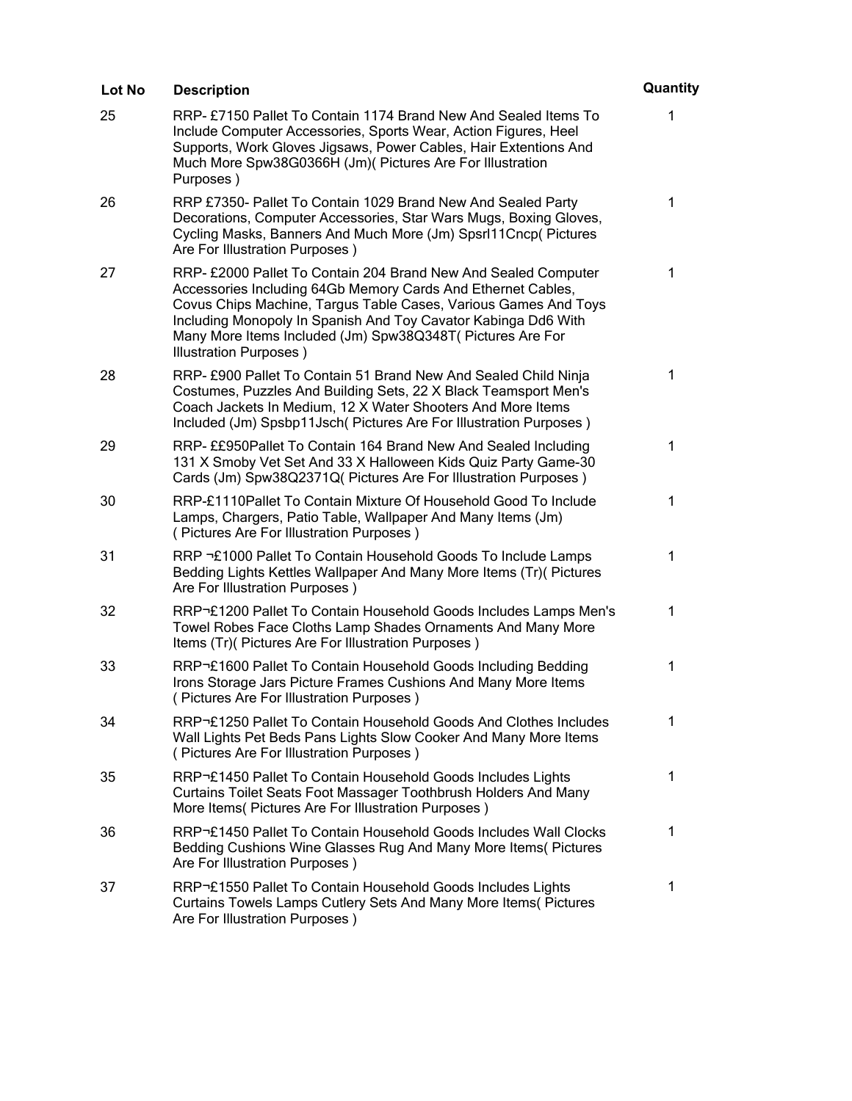| Lot No | <b>Description</b>                                                                                                                                                                                                                                                                                                                                          | Quantity    |
|--------|-------------------------------------------------------------------------------------------------------------------------------------------------------------------------------------------------------------------------------------------------------------------------------------------------------------------------------------------------------------|-------------|
| 25     | RRP-£7150 Pallet To Contain 1174 Brand New And Sealed Items To<br>Include Computer Accessories, Sports Wear, Action Figures, Heel<br>Supports, Work Gloves Jigsaws, Power Cables, Hair Extentions And<br>Much More Spw38G0366H (Jm)( Pictures Are For Illustration<br>Purposes)                                                                             | 1           |
| 26     | RRP £7350- Pallet To Contain 1029 Brand New And Sealed Party<br>Decorations, Computer Accessories, Star Wars Mugs, Boxing Gloves,<br>Cycling Masks, Banners And Much More (Jm) Spsrl11Cncp( Pictures<br>Are For Illustration Purposes)                                                                                                                      | 1           |
| 27     | RRP- £2000 Pallet To Contain 204 Brand New And Sealed Computer<br>Accessories Including 64Gb Memory Cards And Ethernet Cables,<br>Covus Chips Machine, Targus Table Cases, Various Games And Toys<br>Including Monopoly In Spanish And Toy Cavator Kabinga Dd6 With<br>Many More Items Included (Jm) Spw38Q348T (Pictures Are For<br>Illustration Purposes) | $\mathbf 1$ |
| 28     | RRP- £900 Pallet To Contain 51 Brand New And Sealed Child Ninja<br>Costumes, Puzzles And Building Sets, 22 X Black Teamsport Men's<br>Coach Jackets In Medium, 12 X Water Shooters And More Items<br>Included (Jm) Spsbp11Jsch (Pictures Are For Illustration Purposes)                                                                                     | $\mathbf 1$ |
| 29     | RRP- ££950Pallet To Contain 164 Brand New And Sealed Including<br>131 X Smoby Vet Set And 33 X Halloween Kids Quiz Party Game-30<br>Cards (Jm) Spw38Q2371Q( Pictures Are For Illustration Purposes)                                                                                                                                                         | 1           |
| 30     | RRP-£1110Pallet To Contain Mixture Of Household Good To Include<br>Lamps, Chargers, Patio Table, Wallpaper And Many Items (Jm)<br>(Pictures Are For Illustration Purposes)                                                                                                                                                                                  | 1           |
| 31     | RRP £1000 Pallet To Contain Household Goods To Include Lamps<br>Bedding Lights Kettles Wallpaper And Many More Items (Tr)( Pictures<br>Are For Illustration Purposes)                                                                                                                                                                                       | 1           |
| 32     | RRP£1200 Pallet To Contain Household Goods Includes Lamps Men's<br>Towel Robes Face Cloths Lamp Shades Ornaments And Many More<br>Items (Tr)( Pictures Are For Illustration Purposes)                                                                                                                                                                       | 1           |
| 33     | RRP£1600 Pallet To Contain Household Goods Including Bedding<br>Irons Storage Jars Picture Frames Cushions And Many More Items<br>(Pictures Are For Illustration Purposes)                                                                                                                                                                                  | 1           |
| 34     | RRP£1250 Pallet To Contain Household Goods And Clothes Includes<br>Wall Lights Pet Beds Pans Lights Slow Cooker And Many More Items<br>(Pictures Are For Illustration Purposes)                                                                                                                                                                             | 1           |
| 35     | RRP£1450 Pallet To Contain Household Goods Includes Lights<br>Curtains Toilet Seats Foot Massager Toothbrush Holders And Many<br>More Items( Pictures Are For Illustration Purposes)                                                                                                                                                                        | 1           |
| 36     | RRP£1450 Pallet To Contain Household Goods Includes Wall Clocks<br>Bedding Cushions Wine Glasses Rug And Many More Items (Pictures<br>Are For Illustration Purposes)                                                                                                                                                                                        | $\mathbf 1$ |
| 37     | RRP£1550 Pallet To Contain Household Goods Includes Lights<br>Curtains Towels Lamps Cutlery Sets And Many More Items (Pictures<br>Are For Illustration Purposes)                                                                                                                                                                                            | 1           |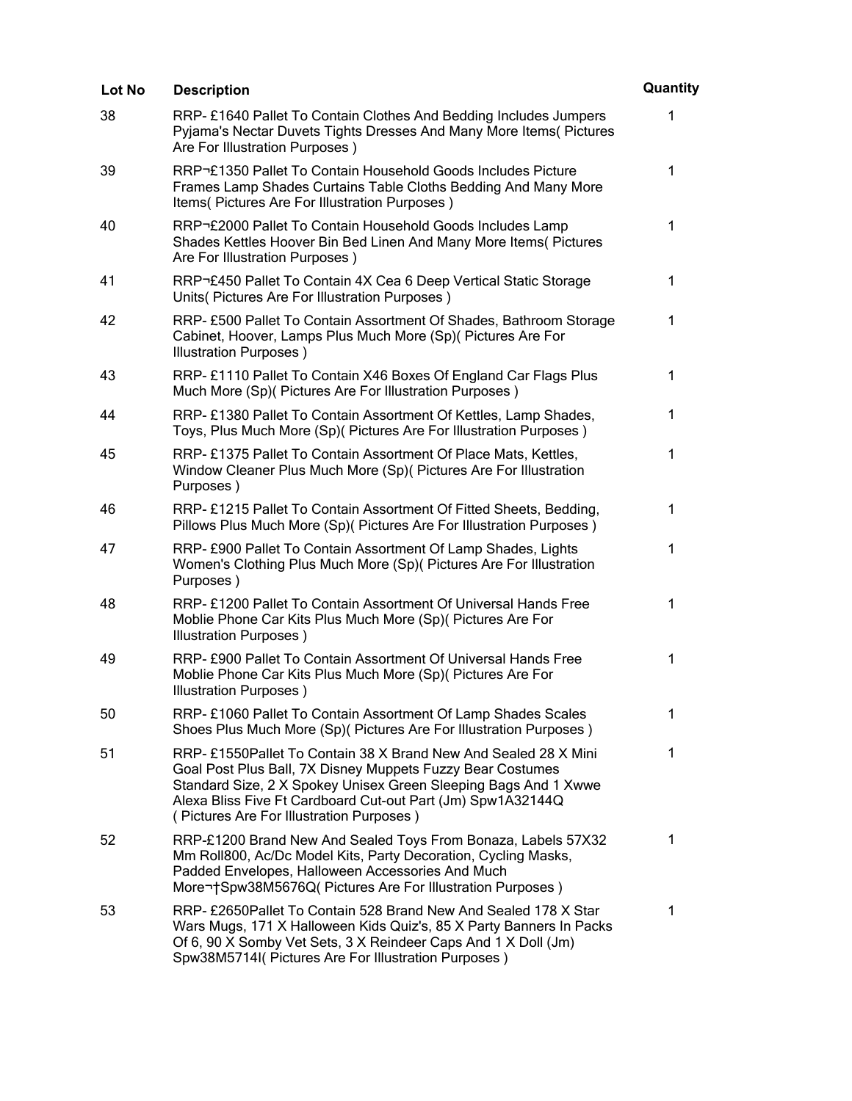| Lot No | <b>Description</b>                                                                                                                                                                                                                                                                                         | Quantity     |
|--------|------------------------------------------------------------------------------------------------------------------------------------------------------------------------------------------------------------------------------------------------------------------------------------------------------------|--------------|
| 38     | RRP-£1640 Pallet To Contain Clothes And Bedding Includes Jumpers<br>Pyjama's Nectar Duvets Tights Dresses And Many More Items (Pictures<br>Are For Illustration Purposes)                                                                                                                                  | 1            |
| 39     | RRP£1350 Pallet To Contain Household Goods Includes Picture<br>Frames Lamp Shades Curtains Table Cloths Bedding And Many More<br>Items( Pictures Are For Illustration Purposes)                                                                                                                            | 1            |
| 40     | RRP£2000 Pallet To Contain Household Goods Includes Lamp<br>Shades Kettles Hoover Bin Bed Linen And Many More Items( Pictures<br>Are For Illustration Purposes)                                                                                                                                            | $\mathbf{1}$ |
| 41     | RRP£450 Pallet To Contain 4X Cea 6 Deep Vertical Static Storage<br>Units (Pictures Are For Illustration Purposes)                                                                                                                                                                                          | $\mathbf 1$  |
| 42     | RRP-£500 Pallet To Contain Assortment Of Shades, Bathroom Storage<br>Cabinet, Hoover, Lamps Plus Much More (Sp)( Pictures Are For<br>Illustration Purposes)                                                                                                                                                | $\mathbf 1$  |
| 43     | RRP-£1110 Pallet To Contain X46 Boxes Of England Car Flags Plus<br>Much More (Sp)( Pictures Are For Illustration Purposes)                                                                                                                                                                                 | $\mathbf{1}$ |
| 44     | RRP-£1380 Pallet To Contain Assortment Of Kettles, Lamp Shades,<br>Toys, Plus Much More (Sp)( Pictures Are For Illustration Purposes)                                                                                                                                                                      | $\mathbf{1}$ |
| 45     | RRP-£1375 Pallet To Contain Assortment Of Place Mats, Kettles,<br>Window Cleaner Plus Much More (Sp)( Pictures Are For Illustration<br>Purposes)                                                                                                                                                           | 1            |
| 46     | RRP-£1215 Pallet To Contain Assortment Of Fitted Sheets, Bedding,<br>Pillows Plus Much More (Sp)( Pictures Are For Illustration Purposes)                                                                                                                                                                  | 1            |
| 47     | RRP- £900 Pallet To Contain Assortment Of Lamp Shades, Lights<br>Women's Clothing Plus Much More (Sp)( Pictures Are For Illustration<br>Purposes)                                                                                                                                                          | 1            |
| 48     | RRP-£1200 Pallet To Contain Assortment Of Universal Hands Free<br>Moblie Phone Car Kits Plus Much More (Sp)( Pictures Are For<br>Illustration Purposes)                                                                                                                                                    | 1            |
| 49     | RRP-£900 Pallet To Contain Assortment Of Universal Hands Free<br>Moblie Phone Car Kits Plus Much More (Sp)( Pictures Are For<br>Illustration Purposes)                                                                                                                                                     | 1            |
| 50     | RRP-£1060 Pallet To Contain Assortment Of Lamp Shades Scales<br>Shoes Plus Much More (Sp)( Pictures Are For Illustration Purposes)                                                                                                                                                                         | 1            |
| 51     | RRP-£1550Pallet To Contain 38 X Brand New And Sealed 28 X Mini<br>Goal Post Plus Ball, 7X Disney Muppets Fuzzy Bear Costumes<br>Standard Size, 2 X Spokey Unisex Green Sleeping Bags And 1 Xwwe<br>Alexa Bliss Five Ft Cardboard Cut-out Part (Jm) Spw1A32144Q<br>(Pictures Are For Illustration Purposes) | 1            |
| 52     | RRP-£1200 Brand New And Sealed Toys From Bonaza, Labels 57X32<br>Mm Roll800, Ac/Dc Model Kits, Party Decoration, Cycling Masks,<br>Padded Envelopes, Halloween Accessories And Much<br>More Spw38M5676Q( Pictures Are For Illustration Purposes)                                                           | 1            |
| 53     | RRP- £2650Pallet To Contain 528 Brand New And Sealed 178 X Star<br>Wars Mugs, 171 X Halloween Kids Quiz's, 85 X Party Banners In Packs<br>Of 6, 90 X Somby Vet Sets, 3 X Reindeer Caps And 1 X Doll (Jm)<br>Spw38M5714I( Pictures Are For Illustration Purposes)                                           | 1            |